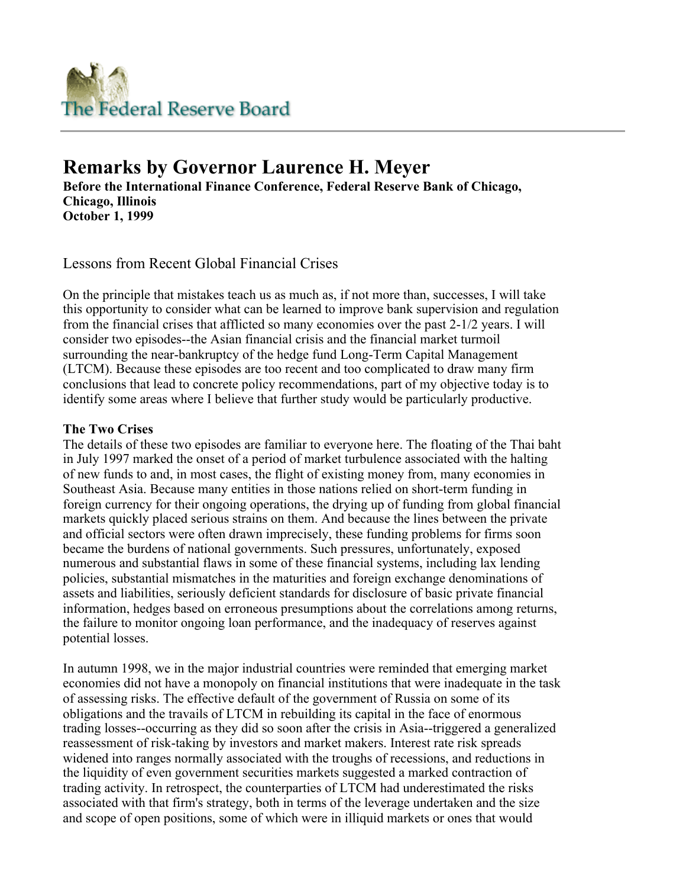

# **Remarks by Governor Laurence H. Meyer**

**Before the International Finance Conference, Federal Reserve Bank of Chicago, Chicago, Illinois October 1, 1999** 

Lessons from Recent Global Financial Crises

On the principle that mistakes teach us as much as, if not more than, successes, I will take this opportunity to consider what can be learned to improve bank supervision and regulation from the financial crises that afflicted so many economies over the past 2-1/2 years. I will consider two episodes--the Asian financial crisis and the financial market turmoil surrounding the near-bankruptcy of the hedge fund Long-Term Capital Management (LTCM). Because these episodes are too recent and too complicated to draw many firm conclusions that lead to concrete policy recommendations, part of my objective today is to identify some areas where I believe that further study would be particularly productive.

## **The Two Crises**

The details of these two episodes are familiar to everyone here. The floating of the Thai baht in July 1997 marked the onset of a period of market turbulence associated with the halting of new funds to and, in most cases, the flight of existing money from, many economies in Southeast Asia. Because many entities in those nations relied on short-term funding in foreign currency for their ongoing operations, the drying up of funding from global financial markets quickly placed serious strains on them. And because the lines between the private and official sectors were often drawn imprecisely, these funding problems for firms soon became the burdens of national governments. Such pressures, unfortunately, exposed numerous and substantial flaws in some of these financial systems, including lax lending policies, substantial mismatches in the maturities and foreign exchange denominations of assets and liabilities, seriously deficient standards for disclosure of basic private financial information, hedges based on erroneous presumptions about the correlations among returns, the failure to monitor ongoing loan performance, and the inadequacy of reserves against potential losses.

In autumn 1998, we in the major industrial countries were reminded that emerging market economies did not have a monopoly on financial institutions that were inadequate in the task of assessing risks. The effective default of the government of Russia on some of its obligations and the travails of LTCM in rebuilding its capital in the face of enormous trading losses--occurring as they did so soon after the crisis in Asia--triggered a generalized reassessment of risk-taking by investors and market makers. Interest rate risk spreads widened into ranges normally associated with the troughs of recessions, and reductions in the liquidity of even government securities markets suggested a marked contraction of trading activity. In retrospect, the counterparties of LTCM had underestimated the risks associated with that firm's strategy, both in terms of the leverage undertaken and the size and scope of open positions, some of which were in illiquid markets or ones that would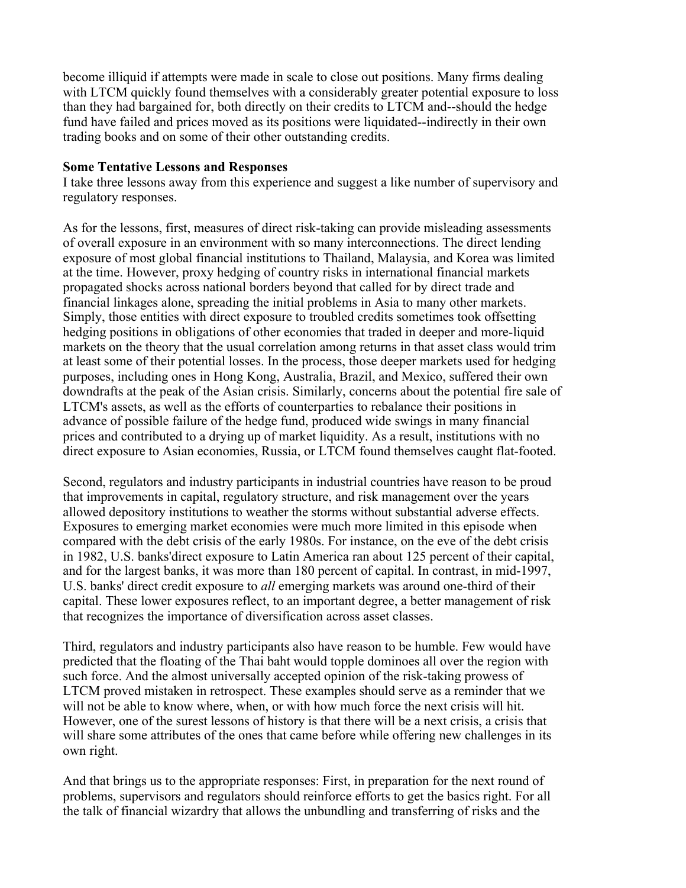become illiquid if attempts were made in scale to close out positions. Many firms dealing with LTCM quickly found themselves with a considerably greater potential exposure to loss than they had bargained for, both directly on their credits to LTCM and--should the hedge fund have failed and prices moved as its positions were liquidated--indirectly in their own trading books and on some of their other outstanding credits.

## **Some Tentative Lessons and Responses**

I take three lessons away from this experience and suggest a like number of supervisory and regulatory responses.

As for the lessons, first, measures of direct risk-taking can provide misleading assessments of overall exposure in an environment with so many interconnections. The direct lending exposure of most global financial institutions to Thailand, Malaysia, and Korea was limited at the time. However, proxy hedging of country risks in international financial markets propagated shocks across national borders beyond that called for by direct trade and financial linkages alone, spreading the initial problems in Asia to many other markets. Simply, those entities with direct exposure to troubled credits sometimes took offsetting hedging positions in obligations of other economies that traded in deeper and more-liquid markets on the theory that the usual correlation among returns in that asset class would trim at least some of their potential losses. In the process, those deeper markets used for hedging purposes, including ones in Hong Kong, Australia, Brazil, and Mexico, suffered their own downdrafts at the peak of the Asian crisis. Similarly, concerns about the potential fire sale of LTCM's assets, as well as the efforts of counterparties to rebalance their positions in advance of possible failure of the hedge fund, produced wide swings in many financial prices and contributed to a drying up of market liquidity. As a result, institutions with no direct exposure to Asian economies, Russia, or LTCM found themselves caught flat-footed.

Second, regulators and industry participants in industrial countries have reason to be proud that improvements in capital, regulatory structure, and risk management over the years allowed depository institutions to weather the storms without substantial adverse effects. Exposures to emerging market economies were much more limited in this episode when compared with the debt crisis of the early 1980s. For instance, on the eve of the debt crisis in 1982, U.S. banks'direct exposure to Latin America ran about 125 percent of their capital, and for the largest banks, it was more than 180 percent of capital. In contrast, in mid-1997, U.S. banks' direct credit exposure to *all* emerging markets was around one-third of their capital. These lower exposures reflect, to an important degree, a better management of risk that recognizes the importance of diversification across asset classes.

Third, regulators and industry participants also have reason to be humble. Few would have predicted that the floating of the Thai baht would topple dominoes all over the region with such force. And the almost universally accepted opinion of the risk-taking prowess of LTCM proved mistaken in retrospect. These examples should serve as a reminder that we will not be able to know where, when, or with how much force the next crisis will hit. However, one of the surest lessons of history is that there will be a next crisis, a crisis that will share some attributes of the ones that came before while offering new challenges in its own right.

And that brings us to the appropriate responses: First, in preparation for the next round of problems, supervisors and regulators should reinforce efforts to get the basics right. For all the talk of financial wizardry that allows the unbundling and transferring of risks and the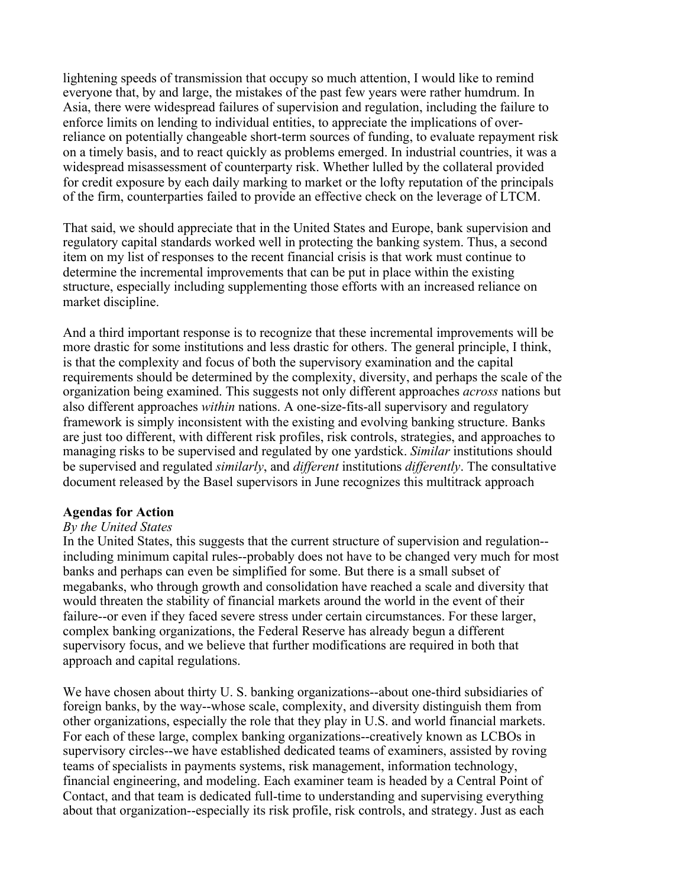lightening speeds of transmission that occupy so much attention, I would like to remind everyone that, by and large, the mistakes of the past few years were rather humdrum. In Asia, there were widespread failures of supervision and regulation, including the failure to enforce limits on lending to individual entities, to appreciate the implications of overreliance on potentially changeable short-term sources of funding, to evaluate repayment risk on a timely basis, and to react quickly as problems emerged. In industrial countries, it was a widespread misassessment of counterparty risk. Whether lulled by the collateral provided for credit exposure by each daily marking to market or the lofty reputation of the principals of the firm, counterparties failed to provide an effective check on the leverage of LTCM.

That said, we should appreciate that in the United States and Europe, bank supervision and regulatory capital standards worked well in protecting the banking system. Thus, a second item on my list of responses to the recent financial crisis is that work must continue to determine the incremental improvements that can be put in place within the existing structure, especially including supplementing those efforts with an increased reliance on market discipline.

And a third important response is to recognize that these incremental improvements will be more drastic for some institutions and less drastic for others. The general principle, I think, is that the complexity and focus of both the supervisory examination and the capital requirements should be determined by the complexity, diversity, and perhaps the scale of the organization being examined. This suggests not only different approaches *across* nations but also different approaches *within* nations. A one-size-fits-all supervisory and regulatory framework is simply inconsistent with the existing and evolving banking structure. Banks are just too different, with different risk profiles, risk controls, strategies, and approaches to managing risks to be supervised and regulated by one yardstick. *Similar* institutions should be supervised and regulated *similarly*, and *different* institutions *differently*. The consultative document released by the Basel supervisors in June recognizes this multitrack approach

#### **Agendas for Action**

#### *By the United States*

In the United States, this suggests that the current structure of supervision and regulation- including minimum capital rules--probably does not have to be changed very much for most banks and perhaps can even be simplified for some. But there is a small subset of megabanks, who through growth and consolidation have reached a scale and diversity that would threaten the stability of financial markets around the world in the event of their failure--or even if they faced severe stress under certain circumstances. For these larger, complex banking organizations, the Federal Reserve has already begun a different supervisory focus, and we believe that further modifications are required in both that approach and capital regulations.

We have chosen about thirty U. S. banking organizations--about one-third subsidiaries of foreign banks, by the way--whose scale, complexity, and diversity distinguish them from other organizations, especially the role that they play in U.S. and world financial markets. For each of these large, complex banking organizations--creatively known as LCBOs in supervisory circles--we have established dedicated teams of examiners, assisted by roving teams of specialists in payments systems, risk management, information technology, financial engineering, and modeling. Each examiner team is headed by a Central Point of Contact, and that team is dedicated full-time to understanding and supervising everything about that organization--especially its risk profile, risk controls, and strategy. Just as each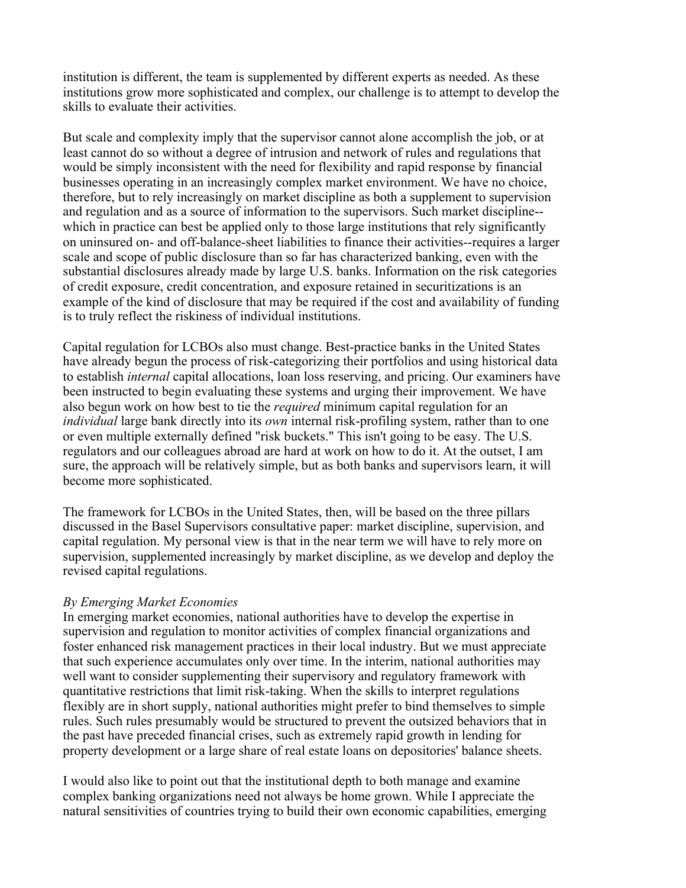institution is different, the team is supplemented by different experts as needed. As these institutions grow more sophisticated and complex, our challenge is to attempt to develop the skills to evaluate their activities.

But scale and complexity imply that the supervisor cannot alone accomplish the job, or at least cannot do so without a degree of intrusion and network of rules and regulations that would be simply inconsistent with the need for flexibility and rapid response by financial businesses operating in an increasingly complex market environment. We have no choice, therefore, but to rely increasingly on market discipline as both a supplement to supervision and regulation and as a source of information to the supervisors. Such market discipline- which in practice can best be applied only to those large institutions that rely significantly on uninsured on- and off-balance-sheet liabilities to finance their activities--requires a larger scale and scope of public disclosure than so far has characterized banking, even with the substantial disclosures already made by large U.S. banks. Information on the risk categories of credit exposure, credit concentration, and exposure retained in securitizations is an example of the kind of disclosure that may be required if the cost and availability of funding is to truly reflect the riskiness of individual institutions.

Capital regulation for LCBOs also must change. Best-practice banks in the United States have already begun the process of risk-categorizing their portfolios and using historical data to establish *internal* capital allocations, loan loss reserving, and pricing. Our examiners have been instructed to begin evaluating these systems and urging their improvement. We have also begun work on how best to tie the *required* minimum capital regulation for an *individual* large bank directly into its *own* internal risk-profiling system, rather than to one or even multiple externally defined "risk buckets." This isn't going to be easy. The U.S. regulators and our colleagues abroad are hard at work on how to do it. At the outset, I am sure, the approach will be relatively simple, but as both banks and supervisors learn, it will become more sophisticated.

The framework for LCBOs in the United States, then, will be based on the three pillars discussed in the Basel Supervisors consultative paper: market discipline, supervision, and capital regulation. My personal view is that in the near term we will have to rely more on supervision, supplemented increasingly by market discipline, as we develop and deploy the revised capital regulations.

# *By Emerging Market Economies*

In emerging market economies, national authorities have to develop the expertise in supervision and regulation to monitor activities of complex financial organizations and foster enhanced risk management practices in their local industry. But we must appreciate that such experience accumulates only over time. In the interim, national authorities may well want to consider supplementing their supervisory and regulatory framework with quantitative restrictions that limit risk-taking. When the skills to interpret regulations flexibly are in short supply, national authorities might prefer to bind themselves to simple rules. Such rules presumably would be structured to prevent the outsized behaviors that in the past have preceded financial crises, such as extremely rapid growth in lending for property development or a large share of real estate loans on depositories' balance sheets.

I would also like to point out that the institutional depth to both manage and examine complex banking organizations need not always be home grown. While I appreciate the natural sensitivities of countries trying to build their own economic capabilities, emerging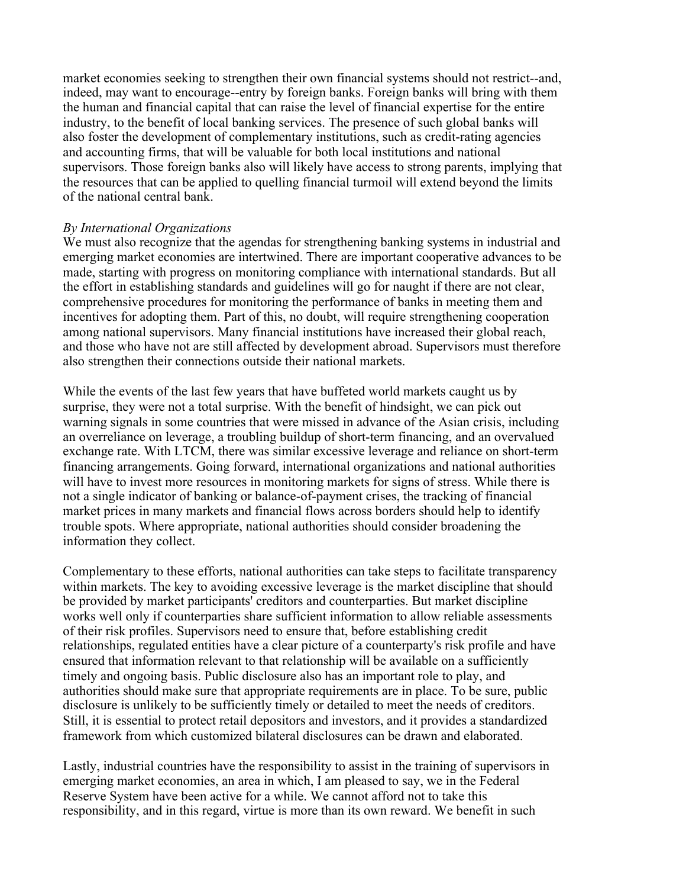market economies seeking to strengthen their own financial systems should not restrict--and, indeed, may want to encourage--entry by foreign banks. Foreign banks will bring with them the human and financial capital that can raise the level of financial expertise for the entire industry, to the benefit of local banking services. The presence of such global banks will also foster the development of complementary institutions, such as credit-rating agencies and accounting firms, that will be valuable for both local institutions and national supervisors. Those foreign banks also will likely have access to strong parents, implying that the resources that can be applied to quelling financial turmoil will extend beyond the limits of the national central bank.

## *By International Organizations*

We must also recognize that the agendas for strengthening banking systems in industrial and emerging market economies are intertwined. There are important cooperative advances to be made, starting with progress on monitoring compliance with international standards. But all the effort in establishing standards and guidelines will go for naught if there are not clear, comprehensive procedures for monitoring the performance of banks in meeting them and incentives for adopting them. Part of this, no doubt, will require strengthening cooperation among national supervisors. Many financial institutions have increased their global reach, and those who have not are still affected by development abroad. Supervisors must therefore also strengthen their connections outside their national markets.

While the events of the last few years that have buffeted world markets caught us by surprise, they were not a total surprise. With the benefit of hindsight, we can pick out warning signals in some countries that were missed in advance of the Asian crisis, including an overreliance on leverage, a troubling buildup of short-term financing, and an overvalued exchange rate. With LTCM, there was similar excessive leverage and reliance on short-term financing arrangements. Going forward, international organizations and national authorities will have to invest more resources in monitoring markets for signs of stress. While there is not a single indicator of banking or balance-of-payment crises, the tracking of financial market prices in many markets and financial flows across borders should help to identify trouble spots. Where appropriate, national authorities should consider broadening the information they collect.

Complementary to these efforts, national authorities can take steps to facilitate transparency within markets. The key to avoiding excessive leverage is the market discipline that should be provided by market participants' creditors and counterparties. But market discipline works well only if counterparties share sufficient information to allow reliable assessments of their risk profiles. Supervisors need to ensure that, before establishing credit relationships, regulated entities have a clear picture of a counterparty's risk profile and have ensured that information relevant to that relationship will be available on a sufficiently timely and ongoing basis. Public disclosure also has an important role to play, and authorities should make sure that appropriate requirements are in place. To be sure, public disclosure is unlikely to be sufficiently timely or detailed to meet the needs of creditors. Still, it is essential to protect retail depositors and investors, and it provides a standardized framework from which customized bilateral disclosures can be drawn and elaborated.

Lastly, industrial countries have the responsibility to assist in the training of supervisors in emerging market economies, an area in which, I am pleased to say, we in the Federal Reserve System have been active for a while. We cannot afford not to take this responsibility, and in this regard, virtue is more than its own reward. We benefit in such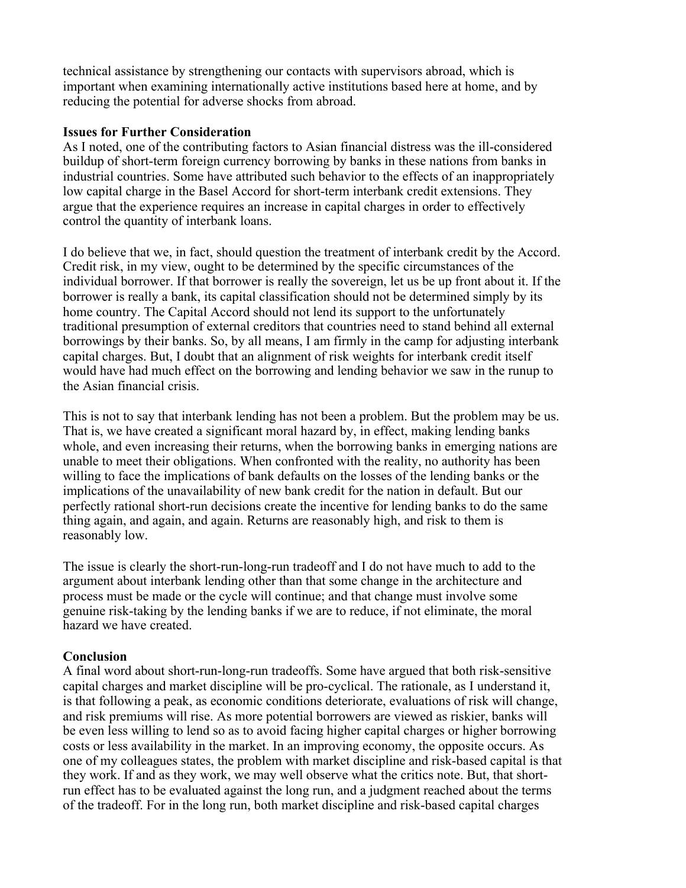technical assistance by strengthening our contacts with supervisors abroad, which is important when examining internationally active institutions based here at home, and by reducing the potential for adverse shocks from abroad.

# **Issues for Further Consideration**

As I noted, one of the contributing factors to Asian financial distress was the ill-considered buildup of short-term foreign currency borrowing by banks in these nations from banks in industrial countries. Some have attributed such behavior to the effects of an inappropriately low capital charge in the Basel Accord for short-term interbank credit extensions. They argue that the experience requires an increase in capital charges in order to effectively control the quantity of interbank loans.

I do believe that we, in fact, should question the treatment of interbank credit by the Accord. Credit risk, in my view, ought to be determined by the specific circumstances of the individual borrower. If that borrower is really the sovereign, let us be up front about it. If the borrower is really a bank, its capital classification should not be determined simply by its home country. The Capital Accord should not lend its support to the unfortunately traditional presumption of external creditors that countries need to stand behind all external borrowings by their banks. So, by all means, I am firmly in the camp for adjusting interbank capital charges. But, I doubt that an alignment of risk weights for interbank credit itself would have had much effect on the borrowing and lending behavior we saw in the runup to the Asian financial crisis.

This is not to say that interbank lending has not been a problem. But the problem may be us. That is, we have created a significant moral hazard by, in effect, making lending banks whole, and even increasing their returns, when the borrowing banks in emerging nations are unable to meet their obligations. When confronted with the reality, no authority has been willing to face the implications of bank defaults on the losses of the lending banks or the implications of the unavailability of new bank credit for the nation in default. But our perfectly rational short-run decisions create the incentive for lending banks to do the same thing again, and again, and again. Returns are reasonably high, and risk to them is reasonably low.

The issue is clearly the short-run-long-run tradeoff and I do not have much to add to the argument about interbank lending other than that some change in the architecture and process must be made or the cycle will continue; and that change must involve some genuine risk-taking by the lending banks if we are to reduce, if not eliminate, the moral hazard we have created.

# **Conclusion**

A final word about short-run-long-run tradeoffs. Some have argued that both risk-sensitive capital charges and market discipline will be pro-cyclical. The rationale, as I understand it, is that following a peak, as economic conditions deteriorate, evaluations of risk will change, and risk premiums will rise. As more potential borrowers are viewed as riskier, banks will be even less willing to lend so as to avoid facing higher capital charges or higher borrowing costs or less availability in the market. In an improving economy, the opposite occurs. As one of my colleagues states, the problem with market discipline and risk-based capital is that they work. If and as they work, we may well observe what the critics note. But, that shortrun effect has to be evaluated against the long run, and a judgment reached about the terms of the tradeoff. For in the long run, both market discipline and risk-based capital charges